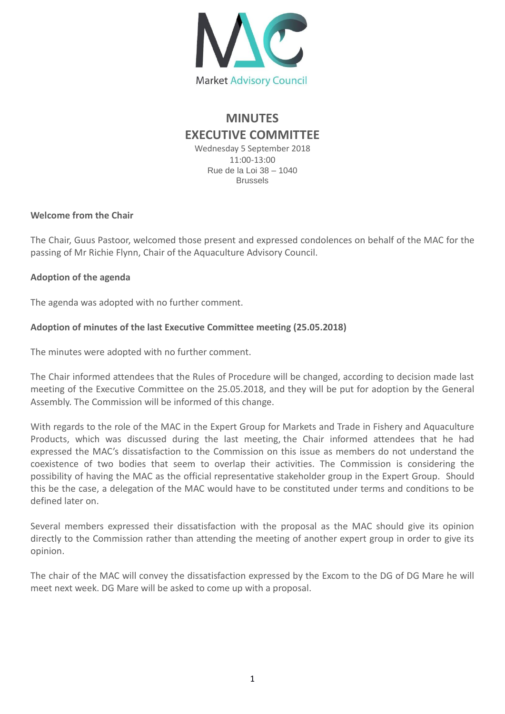

# **MINUTES EXECUTIVE COMMITTEE**

Wednesday 5 September 2018 11:00-13:00 Rue de la Loi 38 – 1040 Brussels

## **Welcome from the Chair**

The Chair, Guus Pastoor, welcomed those present and expressed condolences on behalf of the MAC for the passing of Mr Richie Flynn, Chair of the Aquaculture Advisory Council.

## **Adoption of the agenda**

The agenda was adopted with no further comment.

# **Adoption of minutes of the last Executive Committee meeting (25.05.2018)**

The minutes were adopted with no further comment.

The Chair informed attendees that the Rules of Procedure will be changed, according to decision made last meeting of the Executive Committee on the 25.05.2018, and they will be put for adoption by the General Assembly. The Commission will be informed of this change.

With regards to the role of the MAC in the Expert Group for Markets and Trade in Fishery and Aquaculture Products, which was discussed during the last meeting, the Chair informed attendees that he had expressed the MAC's dissatisfaction to the Commission on this issue as members do not understand the coexistence of two bodies that seem to overlap their activities. The Commission is considering the possibility of having the MAC as the official representative stakeholder group in the Expert Group. Should this be the case, a delegation of the MAC would have to be constituted under terms and conditions to be defined later on.

Several members expressed their dissatisfaction with the proposal as the MAC should give its opinion directly to the Commission rather than attending the meeting of another expert group in order to give its opinion.

The chair of the MAC will convey the dissatisfaction expressed by the Excom to the DG of DG Mare he will meet next week. DG Mare will be asked to come up with a proposal.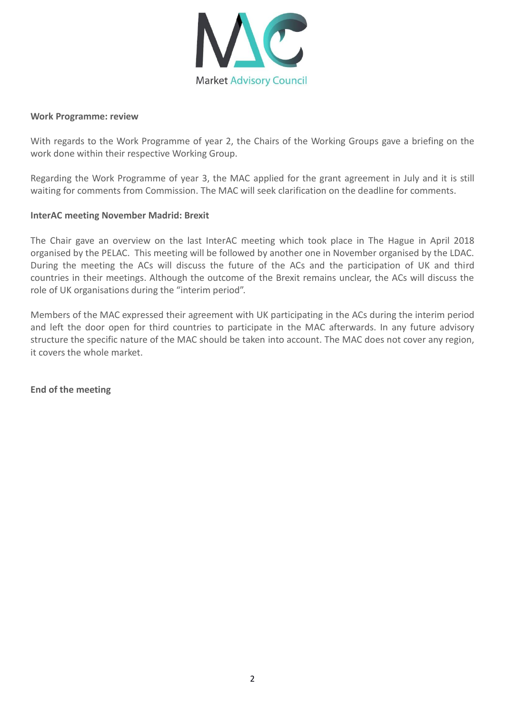

#### **Work Programme: review**

With regards to the Work Programme of year 2, the Chairs of the Working Groups gave a briefing on the work done within their respective Working Group.

Regarding the Work Programme of year 3, the MAC applied for the grant agreement in July and it is still waiting for comments from Commission. The MAC will seek clarification on the deadline for comments.

### **InterAC meeting November Madrid: Brexit**

The Chair gave an overview on the last InterAC meeting which took place in The Hague in April 2018 organised by the PELAC. This meeting will be followed by another one in November organised by the LDAC. During the meeting the ACs will discuss the future of the ACs and the participation of UK and third countries in their meetings. Although the outcome of the Brexit remains unclear, the ACs will discuss the role of UK organisations during the "interim period".

Members of the MAC expressed their agreement with UK participating in the ACs during the interim period and left the door open for third countries to participate in the MAC afterwards. In any future advisory structure the specific nature of the MAC should be taken into account. The MAC does not cover any region, it covers the whole market.

**End of the meeting**